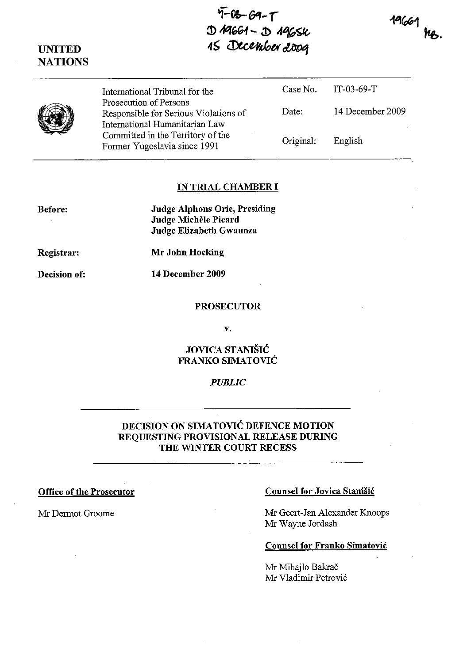19661 kg.

# 7-0<del>0</del>-09-7<br>D 19661 - D 1965K 15 December 2004

| <b>UNITED</b>  |  |
|----------------|--|
| <b>NATIONS</b> |  |

|--|

International Tribunal for the Prosecution of Persons Responsible for Serious Violations of International Humanitarian Law Committed in the Territory of the Former Yugoslavia since 1991 Case No. Date: Original: IT-03-69-T 14 December 2009 English

# **IN TRIAL CHAMBER I**

| <b>Before:</b> | <b>Judge Alphons Orie, Presiding</b><br>Judge Michèle Picard<br>Judge Elizabeth Gwaunza |
|----------------|-----------------------------------------------------------------------------------------|
|                | 17 TH TT II                                                                             |

**Registrar:** 

**Mr John Hocking** 

**Decision of:** 

**14 December 2009** 

### **PROSECUTOR**

v.

**JOVICA STANISIC FRANKO SIMATOVIC** 

# *PUBLIC*

# **DECISION ON SIMATOVIC DEFENCE MOTION REQUESTING PROVISIONAL RELEASE DURING THE WINTER COURT RECESS**

# **Office of the Prosecutor Counsel for Jovica Stanisic Counsel for Jovica Stanisic**

Mr Dermot Groome Mr Geert-Jan Alexander Knoops Mr Wayne Jordash

# **Counsel for Franko Simatovic**

Mr Mihajlo Bakrač Mr Vladimir Petrovic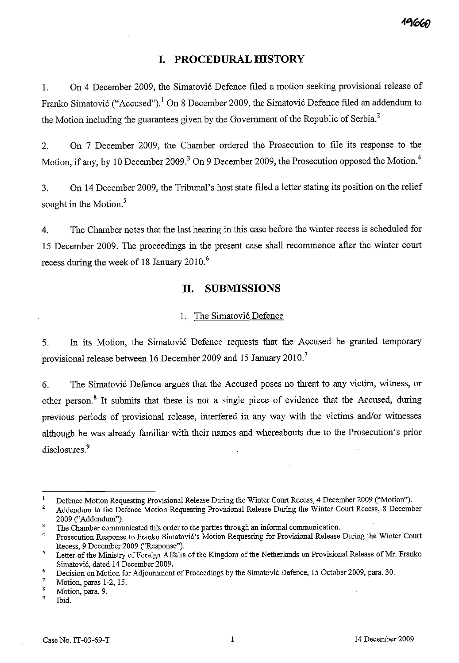# **I. PROCEDURAL HISTORY**

1. On 4 December 2009, the Simatović Defence filed a motion seeking provisional release of Franko Simatović ("Accused").<sup>1</sup> On 8 December 2009, the Simatović Defence filed an addendum to the Motion including the guarantees given by the Government of the Republic of Serbia.<sup>2</sup>

2. On 7 December 2009, the Chamber ordered the Prosecution to file its response to the Motion, if any, by 10 December 2009.<sup>3</sup> On 9 December 2009, the Prosecution opposed the Motion.<sup>4</sup>

3. On 14 December 2009, the Tribunal's host state filed a letter stating its position on the relief sought in the Motion. $5$ 

4. The Chamber notes that the last hearing in this case before the winter recess is scheduled for 15 December 2009. The proceedings in the present case shall recommence after the winter court recess during the week of 18 January 2010.<sup>6</sup>

# **H. SUBMISSIONS**

### 1. The Simatović Defence

5. In its Motion, the Simatović Defence requests that the Accused be granted temporary provisional release between 16 December 2009 and 15 January 2010.<sup>7</sup>

6. The Simatovi6 Defence argues that the Accused poses no threat to any victim, witness, or other person.<sup>8</sup> It submits that there is not a single piece of evidence that the Accused, during previous periods of provisional release, interfered in any way with the victims and/or witnesses although he was already familiar with their names and whereabouts due to the Prosecution's prior disclosures.<sup>9</sup>

7 Motion, paras 1-2, 15.

 $\mathbf{I}$ Defence Motion Requesting Provisional Release During the Winter Court Recess, 4 December 2009 ("Motion").

<sup>2</sup>  Addendum to the Defence Motion Requesting Provisional Release During the Winter Court Recess, 8 December 2009 ("Addendum").

 $\overline{3}$ The Chamber communicated this order to the parties through an informal communication.

<sup>4</sup>  Prosecution Response to Frarko Simatovic's Motion Requesting for Provisional Release During the Winter Court Recess, 9 December 2009 ("Response").

<sup>5</sup>  Letter of the Ministry of Foreign Affairs of the Kingdom of the Netherlands on Provisional Release of Mr. Frarko Simatovic, dated 14 December 2009.

<sup>6</sup>  Decision on Motion for Adjournment of Proceedings by the Simatovic Defence, 15 October 2009, para. 30.

<sup>8</sup>  Motion, para. 9.

<sup>9</sup>  Ibid.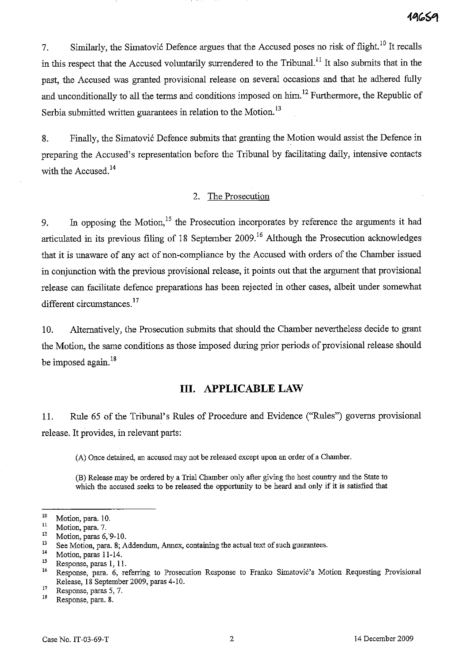7. Similarly, the Simatović Defence argues that the Accused poses no risk of flight.<sup>10</sup> It recalls in this respect that the Accused voluntarily surrendered to the Tribunal.<sup>11</sup> It also submits that in the past, the Accused was granted provisional release on several occasions and that he adhered fully and unconditionally to all the terms and conditions imposed on him.<sup>12</sup> Furthermore, the Republic of Serbia submitted written guarantees in relation to the Motion.<sup>13</sup>

8. Finally, the Simatović Defence submits that granting the Motion would assist the Defence in preparing the Accused's representation before the Tribunal by facilitating daily, intensive contacts with the Accused.<sup>14</sup>

#### 2. The Prosecution

9. In opposing the Motion, <sup>15</sup> the Prosecution incorporates by reference the arguments it had articulated in its previous filing of 18 September 2009.<sup>16</sup> Although the Prosecution acknowledges that it is unaware of any act of non-compliance by the Accused with orders of the Chamber issued in conjunction with the previous provisional release, it points out that the argument that provisional release can facilitate defence preparations has been rejected in other cases, albeit under somewhat different circumstances.<sup>17</sup>

10. Alternatively, the Prosecution submits that should the Chamber nevertheless decide to grant the Motion, the same conditions as those imposed during prior periods of provisional release should be imposed again. $18$ 

# **III. APPLICABLE LAW**

11. Rule 65 of the Tribunal's Rules of Procedure and Evidence ("Rules") governs provisional release. It provides, in relevant parts:

(A) Once detained, an accused may not be released except upon an order of a Chamber.

(B) Release may be ordered by a Trial Chamber only after giving the host country and the State to which the accused seeks to be released the opportnnity to be heard and only if it is satisfied that

<sup>10</sup> Motion, para. 10.<br>
<sup>11</sup> Motion, para. 7.<br>
<sup>12</sup> Motion paras 6.

<sup>&</sup>lt;sup>12</sup> Motion, paras 6, 9-10.

<sup>&</sup>lt;sup>13</sup> See Motion, para. 8; Addendum, Annex, containing the actual text of such guarantees.

 $^{14}$  Motion, paras 11-14.

 $\frac{15}{16}$  Response, paras 1, 11.

Response, para. 6, referring to Prosecution Response to Franko Simatović's Motion Requesting Provisional Release, 18 September 2009, paras 4-10.

<sup>&</sup>lt;sup>17</sup> Response, paras 5, 7.

Response, para. 8.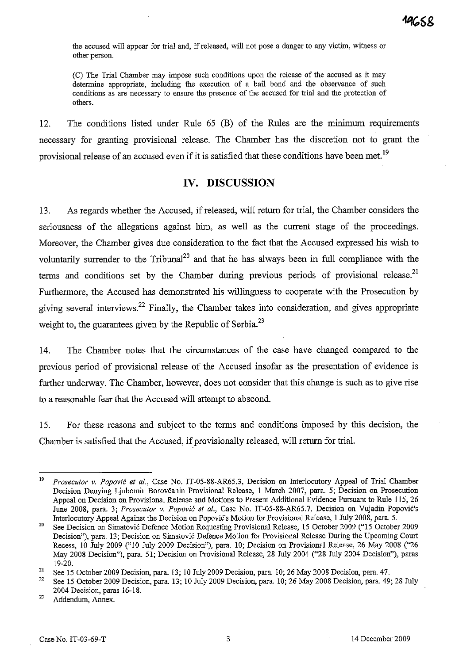the accused will appear for trial and, if released, will not pose a danger to any victim, witness or **other person.** 

(C) The Trial Chamber may impose such conditions upon the release of the accused as it may determine appropriate, including the execution of a bail bond and the observance of such conditions as are necessary to ensure the presence of the accused for trial and the protection of others.

12. The conditions listed under Rule 65 (B) of the Rules are the minimum requirements necessary for granting provisional release. The Chamber has the discretion not to grant the provisional release of an accused even if it is satisfied that these conditions have been met. <sup>19</sup>

# **IV. DISCUSSION**

13. As regards whether the Accused, if released, will return for trial, the Chamber considers the seriousness of the allegations against him, as well as the current stage of the proceedings. Moreover, the Chamber gives due consideration to the fact that the Accused expressed his wish to voluntarily surrender to the Tribunal<sup>20</sup> and that he has always been in full compliance with the terms and conditions set by the Chamber during previous periods of provisional release.<sup>21</sup> Furthermore, the Accused has demonstrated his willingness to cooperate with the Prosecution by giving several interviews.<sup>22</sup> Finally, the Chamber takes into consideration, and gives appropriate weight to, the guarantees given by the Republic of Serbia.<sup>23</sup>

14. The Chamber notes that the circumstances of the case have changed compared to the previous period of provisional release of the Accused insofar as the presentation of evidence is further underway. The Chamber, however, does not consider that this change is such as to give rise to a reasonable fear that the Accused will attempt to abscond.

15. For these reasons and subject to the terms and conditions imposed by this decision, the Chamber is satisfied that the Accused, if provisionally released, will return for trial.

<sup>&</sup>lt;sup>19</sup> Prosecutor v. Popović et al., Case No. IT-05-88-AR65.3, Decision on Interlocutory Appeal of Trial Chamber Decision Denying Ljubomir Borovčanin Provisional Release, 1 March 2007, para. 5; Decision on Prosecution Appeal on Decision on Provisional Release and Motions to Present Additional Evidence Pursuant to Rule 115, 26 June 2008, para. 3; *Prosecutor v. Popović et al.*, Case No. IT-05-88-AR65.7, Decision on Vujadin Popović's Interlocutory Appeal Against the Decision on Popovic's Motion for Provisional Release, I July 200S, para. 5.

<sup>&</sup>lt;sup>20</sup> See Decision on Simatovic Defence Motion Requesting Provisional Release, 15 October 2009 ("15 October 2009 Decision"), para. 13; Decision on Simatovic Defence Motion for Provisional Release During the Upcoming Court Recess, 10 July 2009 ("10 July 2009 Decision"), para. 10; Decision on Provisional Release, 26 May 200S ("26 May 200S Decision"), para. 51; Decision on Provisional Release, 2S July 2004 ("2S July 2004 Decision"), paras 19-20.

<sup>&</sup>lt;sup>21</sup> See 15 October 2009 Decision, para. 13; 10 July 2009 Decision, para. 10; 26 May 2008 Decision, para. 47.<br><sup>22</sup> See 15 October 2009 Decision, para. 12: 10 July 2009 Decision, para. 10: 26 May 2008 Decision, para. 40.

<sup>22</sup> See 15 October 2009 Decision, para. 13; 10 July 2009 Decision, para. 10; 26 May 200S Decision, para. 49; 2S July 2004 Decision, paras 16-1S.

<sup>23</sup> Addendum, Annex.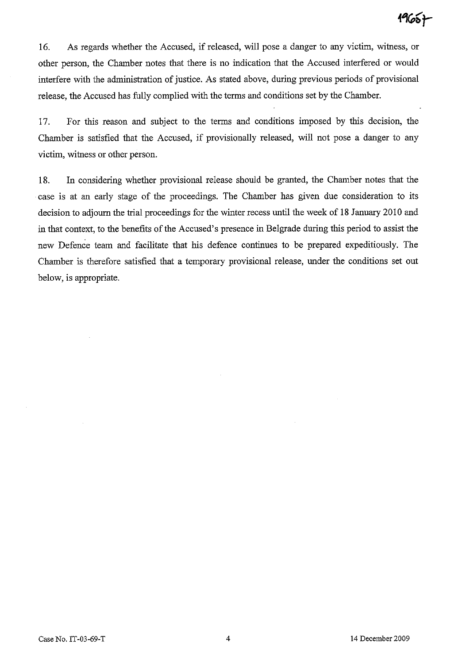16. As regards whether the Accused, if released, will pose a danger to any victim, witness, or other person, the Chamber notes that there is no indication that the Accused interfered or would interfere with the administration of justice. As stated above, during previous periods of provisional release, the Accused has fully complied with the terms and conditions set by the Chamber.

17. For this reason and subject to the terms and conditions imposed by this decision, the Chamber is satisfied that the Accused, if provisionally released, will not pose a danger to any victim, witness or other person.

18. In considering whether provisional release should be granted, the Chamber notes that the case is at an early stage of the proceedings. The Chamber has given due consideration to its decision to adjourn the trial proceedings for the winter recess until the week of 18 January 2010 and in that context, to the benefits of the Accused's presence in Belgrade during this period to assist the new Defence team and facilitate that his defence continues to be prepared expeditiously. The Chamber is therefore satisfied that a temporary provisional release, under the conditions set out below, is appropriate.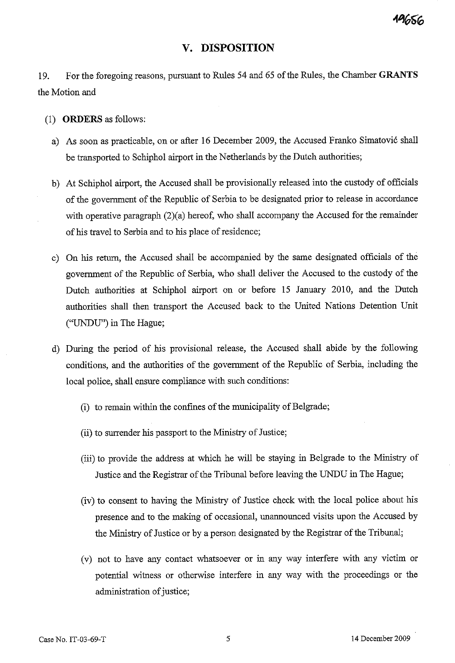19656

# **v. DISPOSITION**

19. For the foregoing reasons, pursuant to Rules 54 and 65 of the Rules, the Chamber **GRANTS**  the Motion and

- (1) **ORDERS** as follows:
	- a) As soon as practicable, on or after 16 December 2009, the Accused Franko Simatović shall be transported to Schiphol airport in the Netherlands by the Dutch authorities;
	- b) At Schiphol airport, the Accused shall be provisionally released into the custody of officials of the government of the Republic of Serbia to be designated prior to release in accordance with operative paragraph (2)(a) hereof, who shall accompany the Accused for the remainder of his travel to Serbia and to his place of residence;
	- c) On his return, the Accused shall be accompanied by the same designated officials of the government of the Republic of Serbia, who shall deliver the Accused to the custody of the Dutch authorities at Schiphol airport on or before 15 January 2010, and the Dutch authorities shall then transport the Accused back to the United Nations Detention Unit ("UNDU") in The Hague;
	- d) During the period of his provisional release, the Accused shall abide by the following conditions, and the authorities of the government of the Republic of Serbia, including the local police, shall ensure compliance with such conditions:
		- (i) to remain within the confines of the municipality of Belgrade;
		- (ii) to surrender his passport to the Ministry of Justice;
		- (iii) to provide the address at which he will be staying in Belgrade to the Ministry of Justice and the Registrar of the Tribunal before leaving the UNDU in The Hague;
		- (iv) to consent to having the Ministry of Justice check with the local police about his presence and to the making of occasional, unannounced visits upon the Accused by the Ministry of Justice or by a person desiguated by the Registrar of the Tribunal;
		- (v) not to have any contact whatsoever or in any way interfere with any victim or potential witness or otherwise interfere in any way with the proceedings or the administration of justice;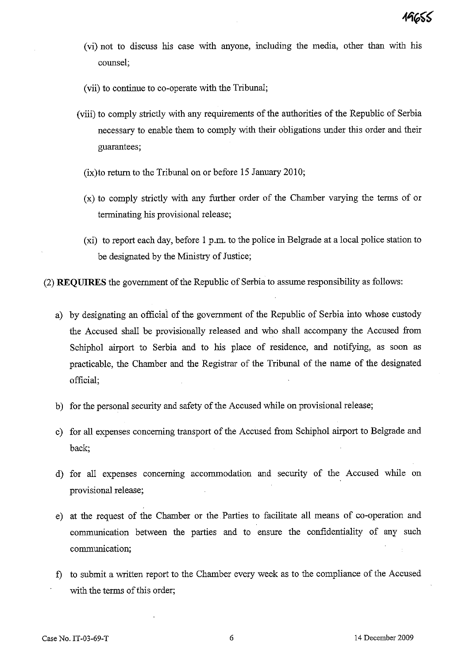- (vi) not to discuss his case with anyone, including the media, other than with his counsel;
- (vii) to continue to co-operate with the Tribunal;
- (viii) to comply strictly with any requirements of the authorities of the Republic of Serbia necessary to enable them to comply with their obligations under this order and their guarantees;
	- (ix)to return to the Tribunal on or before 15 January 2010;
	- (x) to comply strictly with any further order of the Chamber varying the terms of or terminating his provisional release;
	- (xi) to report each day, before 1 p.m. to the police in Belgrade at a local police station to be designated by the Ministry of Justice;

(2) **REQIDRES** the goverrunent of the Republic of Serbia to assume responsibility as follows:

- a) by designating an official of the government of the Republic of Serbia into whose custody the Accused shall be provisionally released and who shall accompany the Accused from Schiphol airport to Serbia and to his place of residence, and notifying, as soon as practicable, the Chamber and the Registrar of the Tribunal of the name of the designated official;
- b) for the personal security and safety of the Accused while on provisional release;
- c) for all expenses concerning transport of the Accused from Schiphol airport to Belgrade and back;
- d) for all expenses concerning accommodation and security of the Accused while on provisional release;
- e) at the request of the Chamber or the Parties to facilitate all means of co-operation and communication between the parties and to ensure the confidentiality of any such communication;
- f) to subrnit a written report to the Chamber every week as to the compliance of the Accused with the terms of this order;